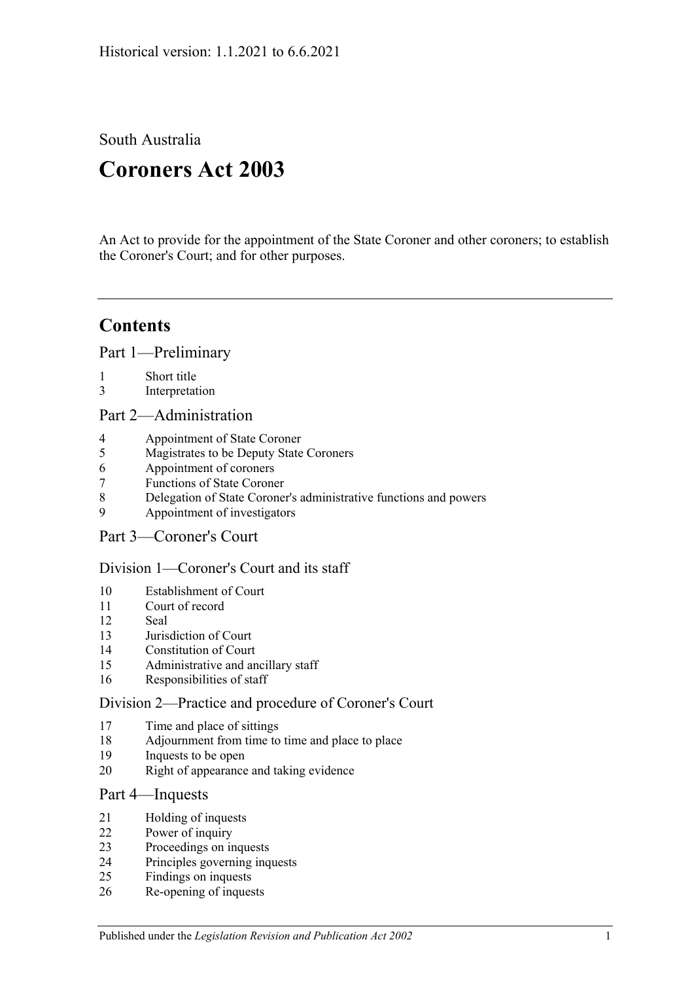South Australia

# **Coroners Act 2003**

An Act to provide for the appointment of the State Coroner and other coroners; to establish the Coroner's Court; and for other purposes.

# **Contents**

[Part 1—Preliminary](#page-1-0)

- [Short title](#page-1-1)
- [Interpretation](#page-1-2)

[Part 2—Administration](#page-4-0)

- [Appointment of State Coroner](#page-4-1)
- [Magistrates to be Deputy State Coroners](#page-4-2)
- [Appointment of coroners](#page-4-3)
- [Functions of State Coroner](#page-5-0)
- [Delegation of State Coroner's administrative functions and powers](#page-5-1)
- [Appointment of investigators](#page-5-2)
- [Part 3—Coroner's Court](#page-5-3)

# [Division 1—Coroner's Court and its staff](#page-5-4)

- [Establishment of Court](#page-5-5)
- [Court of record](#page-6-0)<br>12 Seal
- [Seal](#page-6-1)
- [Jurisdiction of Court](#page-6-2)
- [Constitution of Court](#page-6-3)
- [Administrative and ancillary staff](#page-6-4)
- [Responsibilities of staff](#page-6-5)

# [Division 2—Practice and procedure of Coroner's Court](#page-6-6)

- [Time and place of sittings](#page-6-7)
- [Adjournment from time to time and place to place](#page-6-8)
- [Inquests to be open](#page-7-0)
- [Right of appearance and taking evidence](#page-7-1)

# [Part 4—Inquests](#page-7-2)

- [Holding of inquests](#page-7-3)
- [Power of inquiry](#page-8-0)
- [Proceedings on inquests](#page-9-0)
- [Principles governing inquests](#page-10-0)
- [Findings on inquests](#page-10-1)
- [Re-opening of inquests](#page-11-0)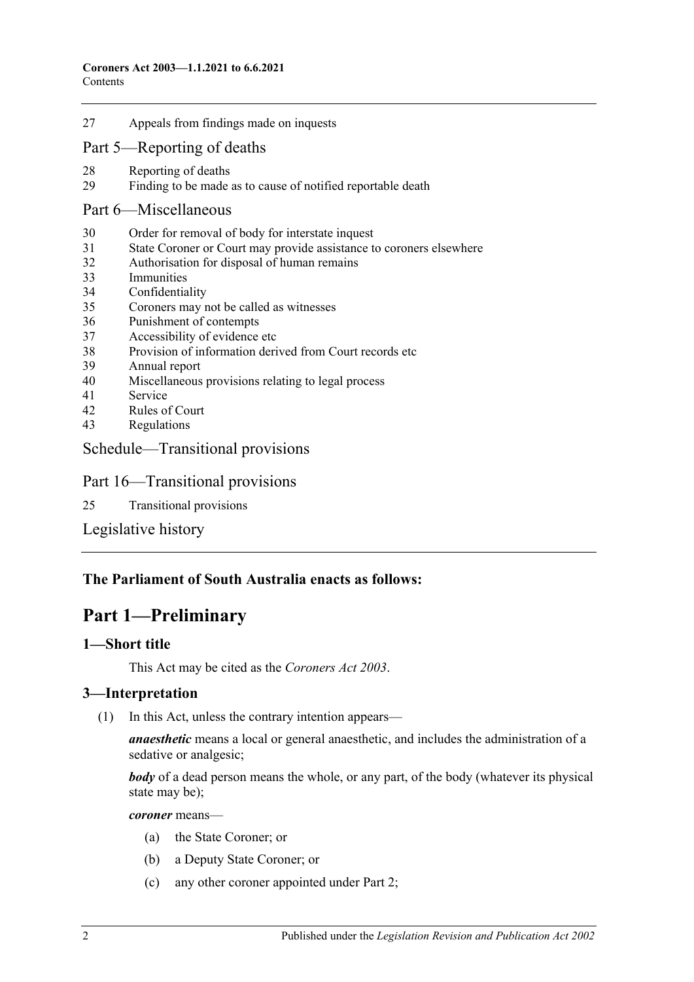- 27 [Appeals from findings made on inquests](#page-11-1) [Part 5—Reporting of deaths](#page-12-0)
- 28 [Reporting of deaths](#page-12-1)<br>29 Finding to be made
- [Finding to be made as to cause of notified reportable death](#page-12-2)

### [Part 6—Miscellaneous](#page-13-0)

- 30 [Order for removal of body for interstate inquest](#page-13-1)
- 31 [State Coroner or Court may provide assistance to coroners elsewhere](#page-13-2)
- 32 [Authorisation for disposal of human remains](#page-14-0)
- 33 [Immunities](#page-14-1)
- 34 [Confidentiality](#page-14-2)
- 35 [Coroners may not be called as](#page-14-3) witnesses
- 36 [Punishment of contempts](#page-15-0)
- 37 [Accessibility of evidence etc](#page-15-1)
- 38 [Provision of information derived from Court records etc](#page-15-2)
- 39 [Annual report](#page-16-0)
- 40 [Miscellaneous provisions relating to legal process](#page-16-1)
- 41 [Service](#page-16-2)
- 42 [Rules of Court](#page-16-3)
- 43 [Regulations](#page-16-4)

# [Schedule—Transitional provisions](#page-17-0)

# Part 16—Transitional provisions

25 [Transitional provisions](#page-17-1)

[Legislative history](#page-18-0)

# <span id="page-1-0"></span>**The Parliament of South Australia enacts as follows:**

# **Part 1—Preliminary**

# <span id="page-1-1"></span>**1—Short title**

This Act may be cited as the *Coroners Act 2003*.

# <span id="page-1-2"></span>**3—Interpretation**

(1) In this Act, unless the contrary intention appears—

*anaesthetic* means a local or general anaesthetic, and includes the administration of a sedative or analgesic;

*body* of a dead person means the whole, or any part, of the body (whatever its physical state may be);

*coroner* means—

- (a) the State Coroner; or
- (b) a Deputy State Coroner; or
- (c) any other coroner appointed under [Part 2;](#page-4-0)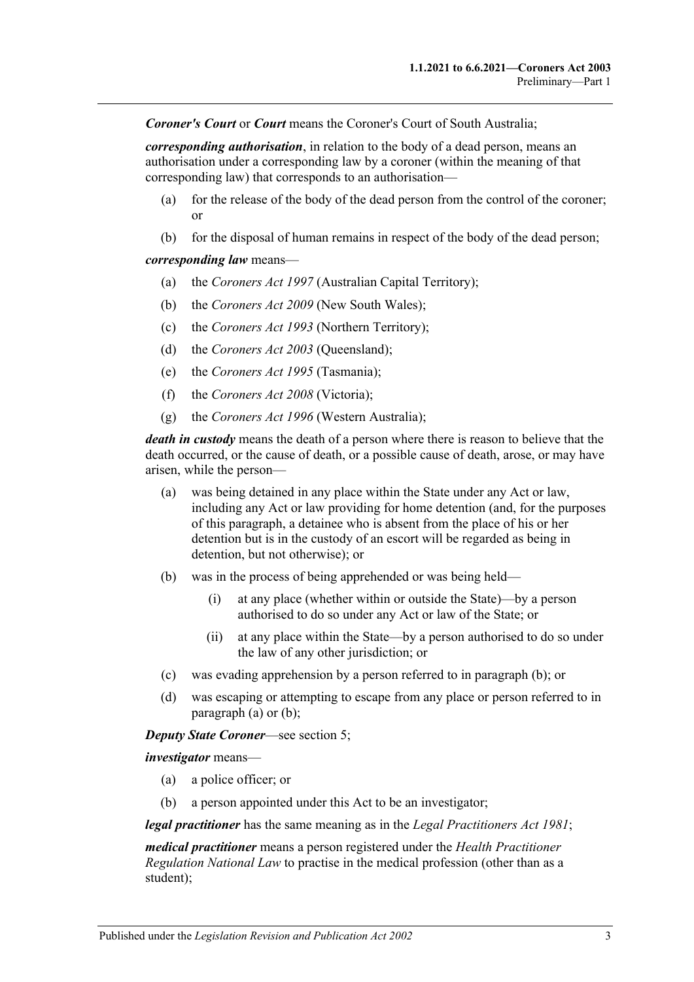*Coroner's Court* or *Court* means the Coroner's Court of South Australia;

*corresponding authorisation*, in relation to the body of a dead person, means an authorisation under a corresponding law by a coroner (within the meaning of that corresponding law) that corresponds to an authorisation—

- (a) for the release of the body of the dead person from the control of the coroner; or
- (b) for the disposal of human remains in respect of the body of the dead person;

#### *corresponding law* means—

- (a) the *Coroners Act 1997* (Australian Capital Territory);
- (b) the *Coroners Act 2009* (New South Wales);
- (c) the *Coroners Act 1993* (Northern Territory);
- (d) the *Coroners Act 2003* (Queensland);
- (e) the *Coroners Act 1995* (Tasmania);
- (f) the *Coroners Act 2008* (Victoria);
- (g) the *Coroners Act 1996* (Western Australia);

*death in custody* means the death of a person where there is reason to believe that the death occurred, or the cause of death, or a possible cause of death, arose, or may have arisen, while the person—

- <span id="page-2-1"></span>(a) was being detained in any place within the State under any Act or law, including any Act or law providing for home detention (and, for the purposes of this paragraph, a detainee who is absent from the place of his or her detention but is in the custody of an escort will be regarded as being in detention, but not otherwise); or
- <span id="page-2-0"></span>(b) was in the process of being apprehended or was being held—
	- (i) at any place (whether within or outside the State)—by a person authorised to do so under any Act or law of the State; or
	- (ii) at any place within the State—by a person authorised to do so under the law of any other jurisdiction; or
- (c) was evading apprehension by a person referred to in [paragraph](#page-2-0) (b); or
- (d) was escaping or attempting to escape from any place or person referred to in [paragraph](#page-2-1) (a) or [\(b\);](#page-2-0)

#### *Deputy State Coroner*—see [section](#page-4-2) 5;

*investigator* means—

- (a) a police officer; or
- (b) a person appointed under this Act to be an investigator;

*legal practitioner* has the same meaning as in the *[Legal Practitioners Act](http://www.legislation.sa.gov.au/index.aspx?action=legref&type=act&legtitle=Legal%20Practitioners%20Act%201981) 1981*;

*medical practitioner* means a person registered under the *Health Practitioner Regulation National Law* to practise in the medical profession (other than as a student);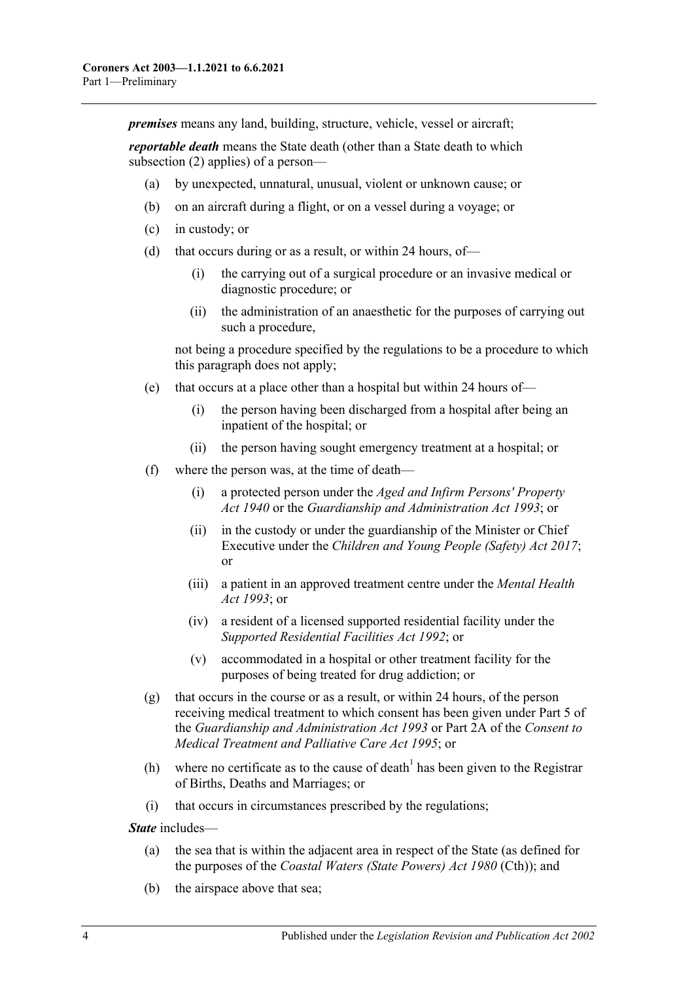*premises* means any land, building, structure, vehicle, vessel or aircraft;

*reportable death* means the State death (other than a State death to which [subsection](#page-4-4) (2) applies) of a person—

- (a) by unexpected, unnatural, unusual, violent or unknown cause; or
- (b) on an aircraft during a flight, or on a vessel during a voyage; or
- (c) in custody; or
- (d) that occurs during or as a result, or within 24 hours, of—
	- (i) the carrying out of a surgical procedure or an invasive medical or diagnostic procedure; or
	- (ii) the administration of an anaesthetic for the purposes of carrying out such a procedure,

not being a procedure specified by the regulations to be a procedure to which this paragraph does not apply;

- (e) that occurs at a place other than a hospital but within 24 hours of—
	- (i) the person having been discharged from a hospital after being an inpatient of the hospital; or
	- (ii) the person having sought emergency treatment at a hospital; or
- (f) where the person was, at the time of death—
	- (i) a protected person under the *[Aged and Infirm Persons' Property](http://www.legislation.sa.gov.au/index.aspx?action=legref&type=act&legtitle=Aged%20and%20Infirm%20Persons%20Property%20Act%201940)  Act [1940](http://www.legislation.sa.gov.au/index.aspx?action=legref&type=act&legtitle=Aged%20and%20Infirm%20Persons%20Property%20Act%201940)* or the *Guardianship [and Administration Act](http://www.legislation.sa.gov.au/index.aspx?action=legref&type=act&legtitle=Guardianship%20and%20Administration%20Act%201993) 1993*; or
	- (ii) in the custody or under the guardianship of the Minister or Chief Executive under the *[Children and Young People \(Safety\) Act](http://www.legislation.sa.gov.au/index.aspx?action=legref&type=act&legtitle=Children%20and%20Young%20People%20(Safety)%20Act%202017) 2017*; or
	- (iii) a patient in an approved treatment centre under the *[Mental Health](http://www.legislation.sa.gov.au/index.aspx?action=legref&type=act&legtitle=Mental%20Health%20Act%201993)  Act [1993](http://www.legislation.sa.gov.au/index.aspx?action=legref&type=act&legtitle=Mental%20Health%20Act%201993)*; or
	- (iv) a resident of a licensed supported residential facility under the *[Supported Residential Facilities Act](http://www.legislation.sa.gov.au/index.aspx?action=legref&type=act&legtitle=Supported%20Residential%20Facilities%20Act%201992) 1992*; or
	- (v) accommodated in a hospital or other treatment facility for the purposes of being treated for drug addiction; or
- (g) that occurs in the course or as a result, or within 24 hours, of the person receiving medical treatment to which consent has been given under Part 5 of the *[Guardianship and Administration Act](http://www.legislation.sa.gov.au/index.aspx?action=legref&type=act&legtitle=Guardianship%20and%20Administration%20Act%201993) 1993* or Part 2A of the *[Consent to](http://www.legislation.sa.gov.au/index.aspx?action=legref&type=act&legtitle=Consent%20to%20Medical%20Treatment%20and%20Palliative%20Care%20Act%201995)  [Medical Treatment and Palliative Care Act](http://www.legislation.sa.gov.au/index.aspx?action=legref&type=act&legtitle=Consent%20to%20Medical%20Treatment%20and%20Palliative%20Care%20Act%201995) 1995*; or
- (h) where no certificate as to the cause of death<sup>1</sup> has been given to the Registrar of Births, Deaths and Marriages; or
- (i) that occurs in circumstances prescribed by the regulations;

*State* includes—

- (a) the sea that is within the adjacent area in respect of the State (as defined for the purposes of the *Coastal Waters (State Powers) Act 1980* (Cth)); and
- (b) the airspace above that sea;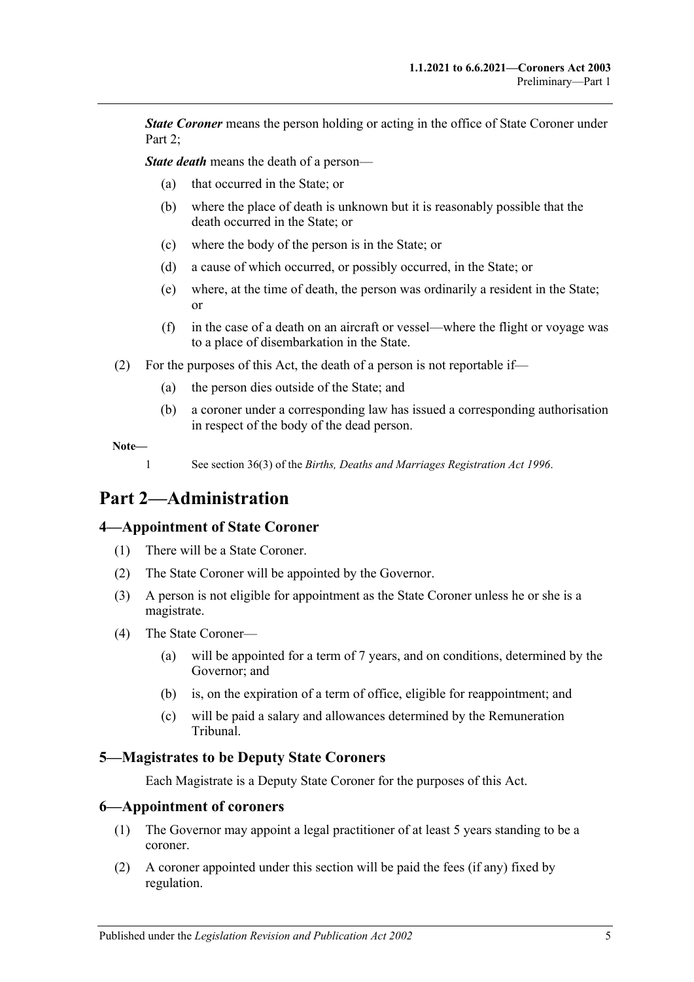*State Coroner* means the person holding or acting in the office of State Coroner under Part 2:

*State death* means the death of a person—

- (a) that occurred in the State; or
- (b) where the place of death is unknown but it is reasonably possible that the death occurred in the State; or
- (c) where the body of the person is in the State; or
- (d) a cause of which occurred, or possibly occurred, in the State; or
- (e) where, at the time of death, the person was ordinarily a resident in the State; or
- (f) in the case of a death on an aircraft or vessel—where the flight or voyage was to a place of disembarkation in the State.
- <span id="page-4-4"></span>(2) For the purposes of this Act, the death of a person is not reportable if—
	- (a) the person dies outside of the State; and
	- (b) a coroner under a corresponding law has issued a corresponding authorisation in respect of the body of the dead person.

**Note—**

1 See section 36(3) of the *[Births, Deaths and Marriages Registration Act](http://www.legislation.sa.gov.au/index.aspx?action=legref&type=act&legtitle=Births%20Deaths%20and%20Marriages%20Registration%20Act%201996) 1996*.

# <span id="page-4-0"></span>**Part 2—Administration**

#### <span id="page-4-1"></span>**4—Appointment of State Coroner**

- (1) There will be a State Coroner.
- (2) The State Coroner will be appointed by the Governor.
- (3) A person is not eligible for appointment as the State Coroner unless he or she is a magistrate.
- (4) The State Coroner—
	- (a) will be appointed for a term of 7 years, and on conditions, determined by the Governor; and
	- (b) is, on the expiration of a term of office, eligible for reappointment; and
	- (c) will be paid a salary and allowances determined by the Remuneration Tribunal.

#### <span id="page-4-2"></span>**5—Magistrates to be Deputy State Coroners**

Each Magistrate is a Deputy State Coroner for the purposes of this Act.

#### <span id="page-4-3"></span>**6—Appointment of coroners**

- (1) The Governor may appoint a legal practitioner of at least 5 years standing to be a coroner.
- (2) A coroner appointed under this section will be paid the fees (if any) fixed by regulation.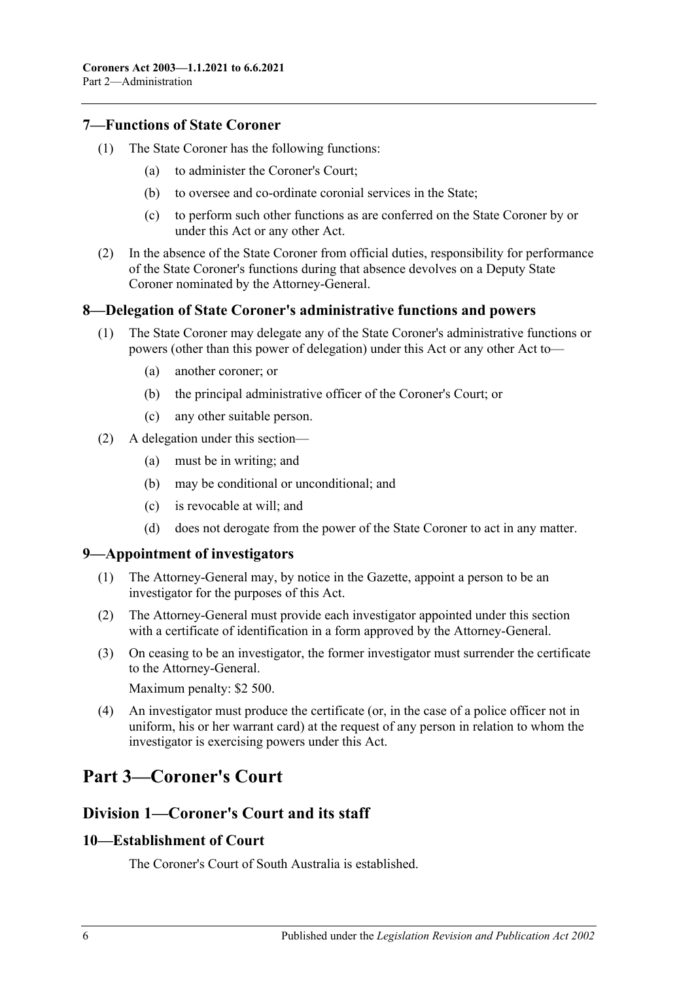### <span id="page-5-0"></span>**7—Functions of State Coroner**

- (1) The State Coroner has the following functions:
	- (a) to administer the Coroner's Court;
	- (b) to oversee and co-ordinate coronial services in the State;
	- (c) to perform such other functions as are conferred on the State Coroner by or under this Act or any other Act.
- (2) In the absence of the State Coroner from official duties, responsibility for performance of the State Coroner's functions during that absence devolves on a Deputy State Coroner nominated by the Attorney-General.

#### <span id="page-5-1"></span>**8—Delegation of State Coroner's administrative functions and powers**

- (1) The State Coroner may delegate any of the State Coroner's administrative functions or powers (other than this power of delegation) under this Act or any other Act to—
	- (a) another coroner; or
	- (b) the principal administrative officer of the Coroner's Court; or
	- (c) any other suitable person.
- (2) A delegation under this section—
	- (a) must be in writing; and
	- (b) may be conditional or unconditional; and
	- (c) is revocable at will; and
	- (d) does not derogate from the power of the State Coroner to act in any matter.

#### <span id="page-5-2"></span>**9—Appointment of investigators**

- (1) The Attorney-General may, by notice in the Gazette, appoint a person to be an investigator for the purposes of this Act.
- (2) The Attorney-General must provide each investigator appointed under this section with a certificate of identification in a form approved by the Attorney-General.
- (3) On ceasing to be an investigator, the former investigator must surrender the certificate to the Attorney-General.

Maximum penalty: \$2 500.

(4) An investigator must produce the certificate (or, in the case of a police officer not in uniform, his or her warrant card) at the request of any person in relation to whom the investigator is exercising powers under this Act.

# <span id="page-5-3"></span>**Part 3—Coroner's Court**

# <span id="page-5-4"></span>**Division 1—Coroner's Court and its staff**

#### <span id="page-5-5"></span>**10—Establishment of Court**

The Coroner's Court of South Australia is established.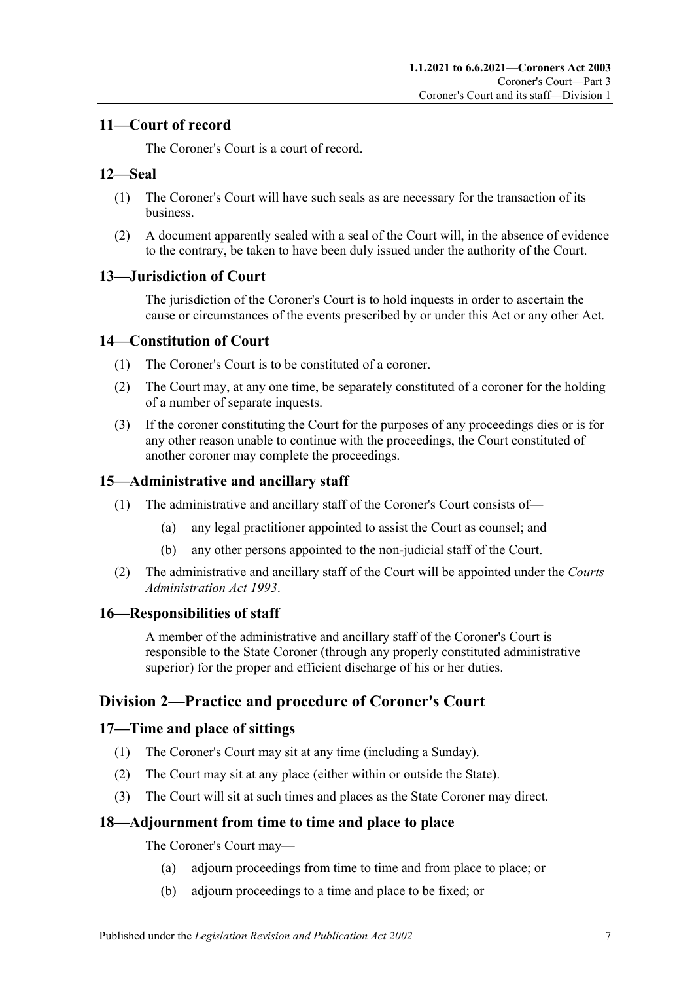# <span id="page-6-0"></span>**11—Court of record**

The Coroner's Court is a court of record.

# <span id="page-6-1"></span>**12—Seal**

- (1) The Coroner's Court will have such seals as are necessary for the transaction of its business.
- (2) A document apparently sealed with a seal of the Court will, in the absence of evidence to the contrary, be taken to have been duly issued under the authority of the Court.

# <span id="page-6-2"></span>**13—Jurisdiction of Court**

The jurisdiction of the Coroner's Court is to hold inquests in order to ascertain the cause or circumstances of the events prescribed by or under this Act or any other Act.

#### <span id="page-6-3"></span>**14—Constitution of Court**

- (1) The Coroner's Court is to be constituted of a coroner.
- (2) The Court may, at any one time, be separately constituted of a coroner for the holding of a number of separate inquests.
- (3) If the coroner constituting the Court for the purposes of any proceedings dies or is for any other reason unable to continue with the proceedings, the Court constituted of another coroner may complete the proceedings.

# <span id="page-6-4"></span>**15—Administrative and ancillary staff**

- (1) The administrative and ancillary staff of the Coroner's Court consists of—
	- (a) any legal practitioner appointed to assist the Court as counsel; and
	- (b) any other persons appointed to the non-judicial staff of the Court.
- (2) The administrative and ancillary staff of the Court will be appointed under the *[Courts](http://www.legislation.sa.gov.au/index.aspx?action=legref&type=act&legtitle=Courts%20Administration%20Act%201993)  [Administration Act](http://www.legislation.sa.gov.au/index.aspx?action=legref&type=act&legtitle=Courts%20Administration%20Act%201993) 1993*.

#### <span id="page-6-5"></span>**16—Responsibilities of staff**

A member of the administrative and ancillary staff of the Coroner's Court is responsible to the State Coroner (through any properly constituted administrative superior) for the proper and efficient discharge of his or her duties.

# <span id="page-6-6"></span>**Division 2—Practice and procedure of Coroner's Court**

# <span id="page-6-7"></span>**17—Time and place of sittings**

- (1) The Coroner's Court may sit at any time (including a Sunday).
- (2) The Court may sit at any place (either within or outside the State).
- (3) The Court will sit at such times and places as the State Coroner may direct.

#### <span id="page-6-8"></span>**18—Adjournment from time to time and place to place**

The Coroner's Court may—

- (a) adjourn proceedings from time to time and from place to place; or
- (b) adjourn proceedings to a time and place to be fixed; or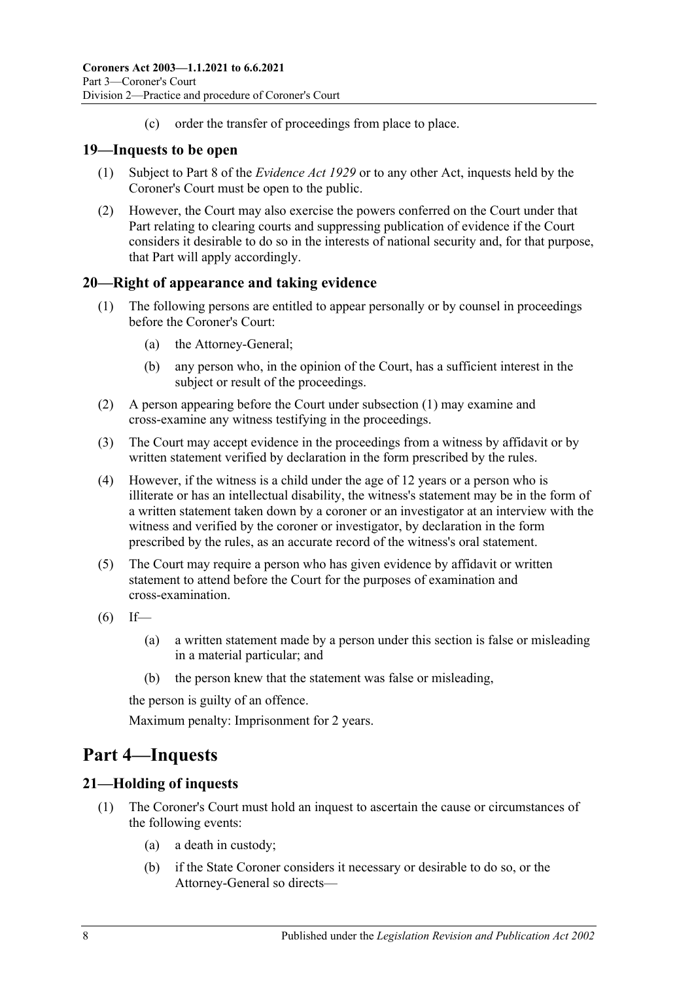(c) order the transfer of proceedings from place to place.

# <span id="page-7-0"></span>**19—Inquests to be open**

- (1) Subject to Part 8 of the *[Evidence Act](http://www.legislation.sa.gov.au/index.aspx?action=legref&type=act&legtitle=Evidence%20Act%201929) 1929* or to any other Act, inquests held by the Coroner's Court must be open to the public.
- (2) However, the Court may also exercise the powers conferred on the Court under that Part relating to clearing courts and suppressing publication of evidence if the Court considers it desirable to do so in the interests of national security and, for that purpose, that Part will apply accordingly.

# <span id="page-7-4"></span><span id="page-7-1"></span>**20—Right of appearance and taking evidence**

- (1) The following persons are entitled to appear personally or by counsel in proceedings before the Coroner's Court:
	- (a) the Attorney-General;
	- (b) any person who, in the opinion of the Court, has a sufficient interest in the subject or result of the proceedings.
- (2) A person appearing before the Court under [subsection](#page-7-4) (1) may examine and cross-examine any witness testifying in the proceedings.
- (3) The Court may accept evidence in the proceedings from a witness by affidavit or by written statement verified by declaration in the form prescribed by the rules.
- (4) However, if the witness is a child under the age of 12 years or a person who is illiterate or has an intellectual disability, the witness's statement may be in the form of a written statement taken down by a coroner or an investigator at an interview with the witness and verified by the coroner or investigator, by declaration in the form prescribed by the rules, as an accurate record of the witness's oral statement.
- (5) The Court may require a person who has given evidence by affidavit or written statement to attend before the Court for the purposes of examination and cross-examination.
- $(6)$  If—
	- (a) a written statement made by a person under this section is false or misleading in a material particular; and
	- (b) the person knew that the statement was false or misleading,

the person is guilty of an offence.

Maximum penalty: Imprisonment for 2 years.

# <span id="page-7-2"></span>**Part 4—Inquests**

# <span id="page-7-3"></span>**21—Holding of inquests**

- (1) The Coroner's Court must hold an inquest to ascertain the cause or circumstances of the following events:
	- (a) a death in custody;
	- (b) if the State Coroner considers it necessary or desirable to do so, or the Attorney-General so directs—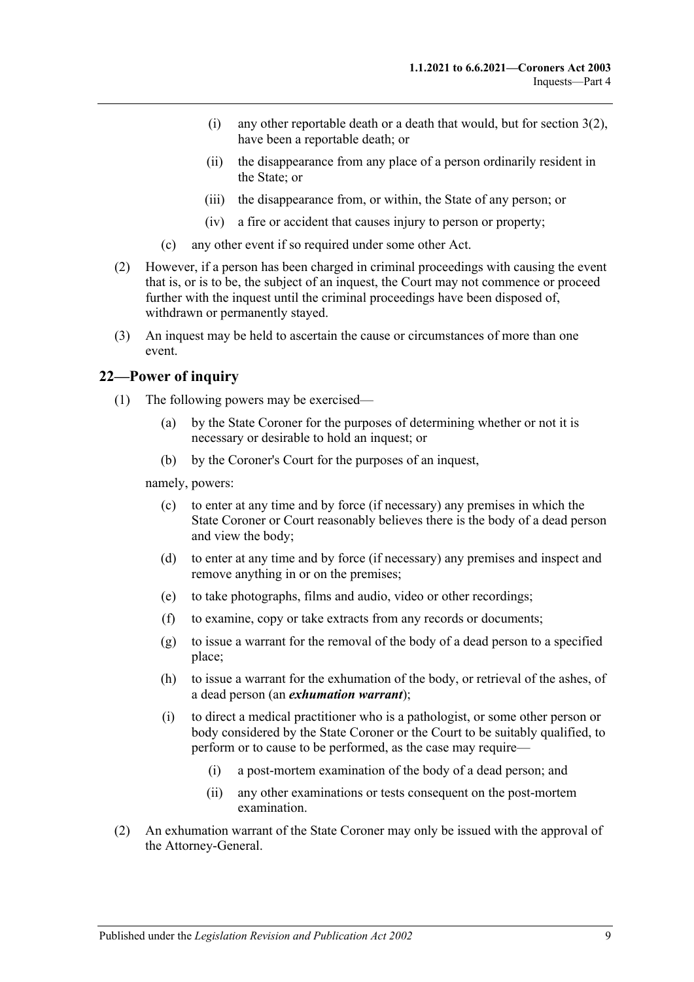- (i) any other reportable death or a death that would, but for [section](#page-4-4) 3(2), have been a reportable death; or
- (ii) the disappearance from any place of a person ordinarily resident in the State; or
- (iii) the disappearance from, or within, the State of any person; or
- (iv) a fire or accident that causes injury to person or property;
- (c) any other event if so required under some other Act.
- (2) However, if a person has been charged in criminal proceedings with causing the event that is, or is to be, the subject of an inquest, the Court may not commence or proceed further with the inquest until the criminal proceedings have been disposed of, withdrawn or permanently stayed.
- (3) An inquest may be held to ascertain the cause or circumstances of more than one event.

# <span id="page-8-0"></span>**22—Power of inquiry**

- (1) The following powers may be exercised—
	- (a) by the State Coroner for the purposes of determining whether or not it is necessary or desirable to hold an inquest; or
	- (b) by the Coroner's Court for the purposes of an inquest,

<span id="page-8-1"></span>namely, powers:

- (c) to enter at any time and by force (if necessary) any premises in which the State Coroner or Court reasonably believes there is the body of a dead person and view the body;
- (d) to enter at any time and by force (if necessary) any premises and inspect and remove anything in or on the premises;
- <span id="page-8-2"></span>(e) to take photographs, films and audio, video or other recordings;
- (f) to examine, copy or take extracts from any records or documents;
- (g) to issue a warrant for the removal of the body of a dead person to a specified place;
- (h) to issue a warrant for the exhumation of the body, or retrieval of the ashes, of a dead person (an *exhumation warrant*);
- (i) to direct a medical practitioner who is a pathologist, or some other person or body considered by the State Coroner or the Court to be suitably qualified, to perform or to cause to be performed, as the case may require—
	- (i) a post-mortem examination of the body of a dead person; and
	- (ii) any other examinations or tests consequent on the post-mortem examination.
- (2) An exhumation warrant of the State Coroner may only be issued with the approval of the Attorney-General.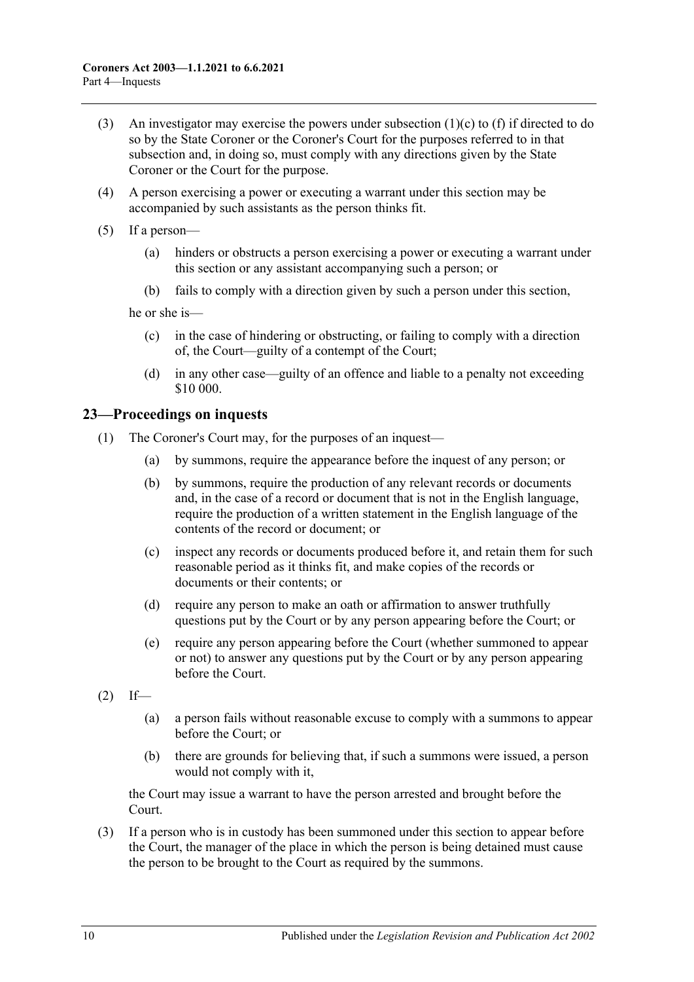- (3) An investigator may exercise the powers under [subsection](#page-8-1)  $(1)(c)$  to  $(f)$  if directed to do so by the State Coroner or the Coroner's Court for the purposes referred to in that subsection and, in doing so, must comply with any directions given by the State Coroner or the Court for the purpose.
- (4) A person exercising a power or executing a warrant under this section may be accompanied by such assistants as the person thinks fit.
- (5) If a person—
	- (a) hinders or obstructs a person exercising a power or executing a warrant under this section or any assistant accompanying such a person; or
	- (b) fails to comply with a direction given by such a person under this section,

he or she is—

- (c) in the case of hindering or obstructing, or failing to comply with a direction of, the Court—guilty of a contempt of the Court;
- (d) in any other case—guilty of an offence and liable to a penalty not exceeding \$10 000.

# <span id="page-9-0"></span>**23—Proceedings on inquests**

- (1) The Coroner's Court may, for the purposes of an inquest—
	- (a) by summons, require the appearance before the inquest of any person; or
	- (b) by summons, require the production of any relevant records or documents and, in the case of a record or document that is not in the English language, require the production of a written statement in the English language of the contents of the record or document; or
	- (c) inspect any records or documents produced before it, and retain them for such reasonable period as it thinks fit, and make copies of the records or documents or their contents; or
	- (d) require any person to make an oath or affirmation to answer truthfully questions put by the Court or by any person appearing before the Court; or
	- (e) require any person appearing before the Court (whether summoned to appear or not) to answer any questions put by the Court or by any person appearing before the Court.
- $(2)$  If—
	- (a) a person fails without reasonable excuse to comply with a summons to appear before the Court; or
	- (b) there are grounds for believing that, if such a summons were issued, a person would not comply with it,

the Court may issue a warrant to have the person arrested and brought before the Court.

(3) If a person who is in custody has been summoned under this section to appear before the Court, the manager of the place in which the person is being detained must cause the person to be brought to the Court as required by the summons.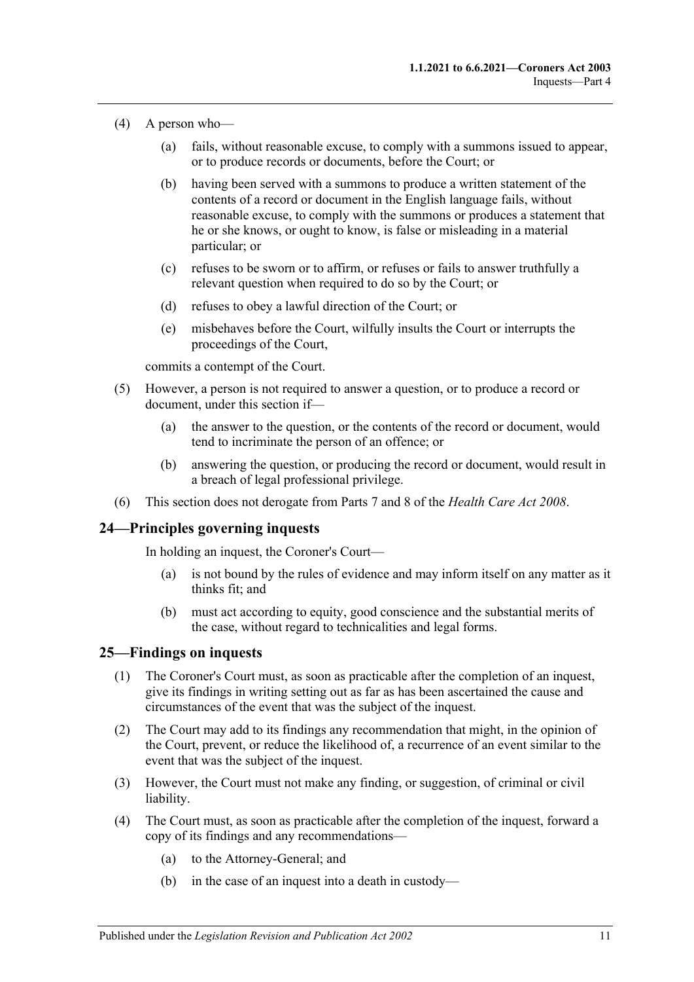- (4) A person who—
	- (a) fails, without reasonable excuse, to comply with a summons issued to appear, or to produce records or documents, before the Court; or
	- (b) having been served with a summons to produce a written statement of the contents of a record or document in the English language fails, without reasonable excuse, to comply with the summons or produces a statement that he or she knows, or ought to know, is false or misleading in a material particular; or
	- (c) refuses to be sworn or to affirm, or refuses or fails to answer truthfully a relevant question when required to do so by the Court; or
	- (d) refuses to obey a lawful direction of the Court; or
	- (e) misbehaves before the Court, wilfully insults the Court or interrupts the proceedings of the Court,

commits a contempt of the Court.

- (5) However, a person is not required to answer a question, or to produce a record or document, under this section if—
	- (a) the answer to the question, or the contents of the record or document, would tend to incriminate the person of an offence; or
	- (b) answering the question, or producing the record or document, would result in a breach of legal professional privilege.
- (6) This section does not derogate from Parts 7 and 8 of the *[Health Care Act](http://www.legislation.sa.gov.au/index.aspx?action=legref&type=act&legtitle=Health%20Care%20Act%202008) 2008*.

#### <span id="page-10-0"></span>**24—Principles governing inquests**

In holding an inquest, the Coroner's Court—

- (a) is not bound by the rules of evidence and may inform itself on any matter as it thinks fit; and
- (b) must act according to equity, good conscience and the substantial merits of the case, without regard to technicalities and legal forms.

#### <span id="page-10-1"></span>**25—Findings on inquests**

- (1) The Coroner's Court must, as soon as practicable after the completion of an inquest, give its findings in writing setting out as far as has been ascertained the cause and circumstances of the event that was the subject of the inquest.
- (2) The Court may add to its findings any recommendation that might, in the opinion of the Court, prevent, or reduce the likelihood of, a recurrence of an event similar to the event that was the subject of the inquest.
- (3) However, the Court must not make any finding, or suggestion, of criminal or civil liability.
- (4) The Court must, as soon as practicable after the completion of the inquest, forward a copy of its findings and any recommendations—
	- (a) to the Attorney-General; and
	- (b) in the case of an inquest into a death in custody—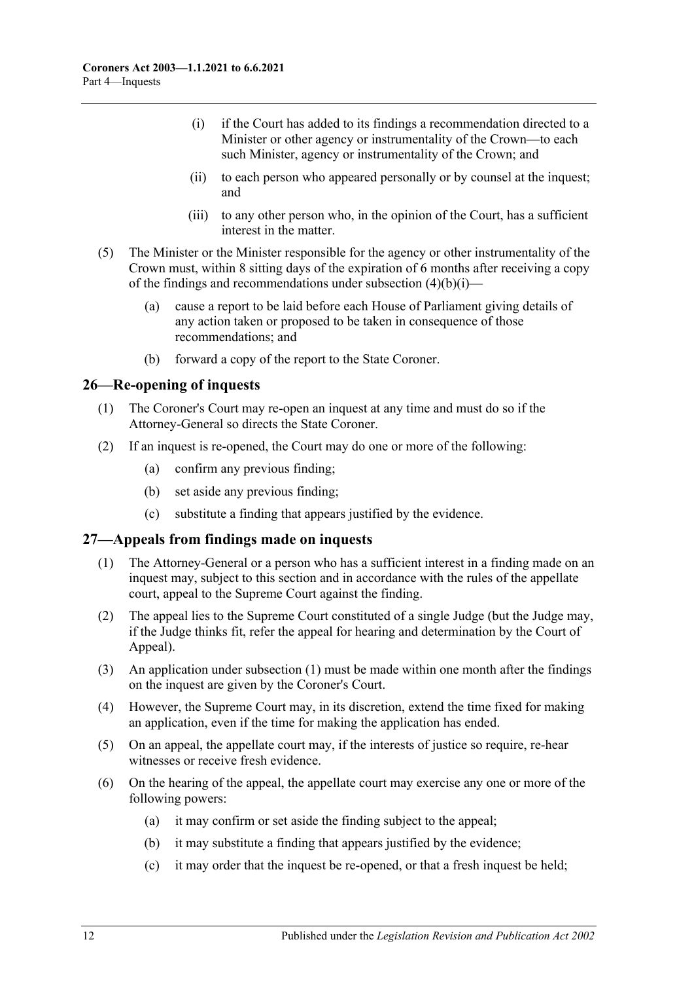- <span id="page-11-2"></span>(i) if the Court has added to its findings a recommendation directed to a Minister or other agency or instrumentality of the Crown—to each such Minister, agency or instrumentality of the Crown; and
- (ii) to each person who appeared personally or by counsel at the inquest; and
- (iii) to any other person who, in the opinion of the Court, has a sufficient interest in the matter.
- (5) The Minister or the Minister responsible for the agency or other instrumentality of the Crown must, within 8 sitting days of the expiration of 6 months after receiving a copy of the findings and recommendations under [subsection](#page-11-2)  $(4)(b)(i)$ —
	- (a) cause a report to be laid before each House of Parliament giving details of any action taken or proposed to be taken in consequence of those recommendations; and
	- (b) forward a copy of the report to the State Coroner.

#### <span id="page-11-0"></span>**26—Re-opening of inquests**

- (1) The Coroner's Court may re-open an inquest at any time and must do so if the Attorney-General so directs the State Coroner.
- (2) If an inquest is re-opened, the Court may do one or more of the following:
	- (a) confirm any previous finding;
	- (b) set aside any previous finding;
	- (c) substitute a finding that appears justified by the evidence.

# <span id="page-11-3"></span><span id="page-11-1"></span>**27—Appeals from findings made on inquests**

- (1) The Attorney-General or a person who has a sufficient interest in a finding made on an inquest may, subject to this section and in accordance with the rules of the appellate court, appeal to the Supreme Court against the finding.
- (2) The appeal lies to the Supreme Court constituted of a single Judge (but the Judge may, if the Judge thinks fit, refer the appeal for hearing and determination by the Court of Appeal).
- (3) An application under [subsection](#page-11-3) (1) must be made within one month after the findings on the inquest are given by the Coroner's Court.
- (4) However, the Supreme Court may, in its discretion, extend the time fixed for making an application, even if the time for making the application has ended.
- (5) On an appeal, the appellate court may, if the interests of justice so require, re-hear witnesses or receive fresh evidence.
- (6) On the hearing of the appeal, the appellate court may exercise any one or more of the following powers:
	- (a) it may confirm or set aside the finding subject to the appeal;
	- (b) it may substitute a finding that appears justified by the evidence;
	- (c) it may order that the inquest be re-opened, or that a fresh inquest be held;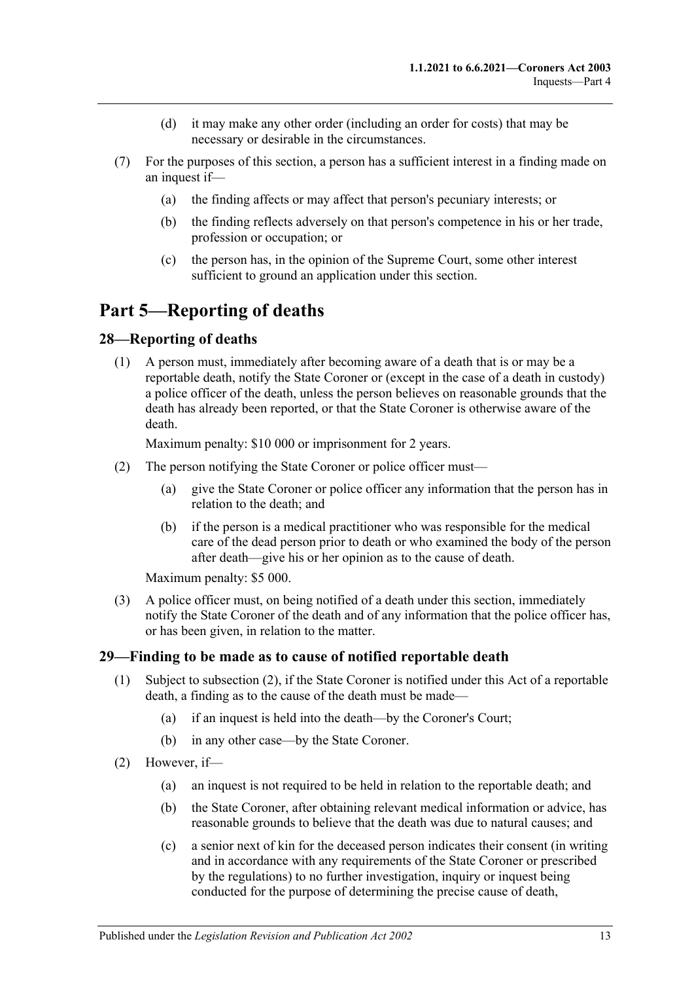- (d) it may make any other order (including an order for costs) that may be necessary or desirable in the circumstances.
- (7) For the purposes of this section, a person has a sufficient interest in a finding made on an inquest if—
	- (a) the finding affects or may affect that person's pecuniary interests; or
	- (b) the finding reflects adversely on that person's competence in his or her trade, profession or occupation; or
	- (c) the person has, in the opinion of the Supreme Court, some other interest sufficient to ground an application under this section.

# <span id="page-12-0"></span>**Part 5—Reporting of deaths**

# <span id="page-12-1"></span>**28—Reporting of deaths**

(1) A person must, immediately after becoming aware of a death that is or may be a reportable death, notify the State Coroner or (except in the case of a death in custody) a police officer of the death, unless the person believes on reasonable grounds that the death has already been reported, or that the State Coroner is otherwise aware of the death.

Maximum penalty: \$10 000 or imprisonment for 2 years.

- (2) The person notifying the State Coroner or police officer must—
	- (a) give the State Coroner or police officer any information that the person has in relation to the death; and
	- (b) if the person is a medical practitioner who was responsible for the medical care of the dead person prior to death or who examined the body of the person after death—give his or her opinion as to the cause of death.

Maximum penalty: \$5 000.

(3) A police officer must, on being notified of a death under this section, immediately notify the State Coroner of the death and of any information that the police officer has, or has been given, in relation to the matter.

#### <span id="page-12-2"></span>**29—Finding to be made as to cause of notified reportable death**

- (1) Subject to [subsection](#page-12-3) (2), if the State Coroner is notified under this Act of a reportable death, a finding as to the cause of the death must be made—
	- (a) if an inquest is held into the death—by the Coroner's Court;
	- (b) in any other case—by the State Coroner.
- <span id="page-12-3"></span>(2) However, if—
	- (a) an inquest is not required to be held in relation to the reportable death; and
	- (b) the State Coroner, after obtaining relevant medical information or advice, has reasonable grounds to believe that the death was due to natural causes; and
	- (c) a senior next of kin for the deceased person indicates their consent (in writing and in accordance with any requirements of the State Coroner or prescribed by the regulations) to no further investigation, inquiry or inquest being conducted for the purpose of determining the precise cause of death,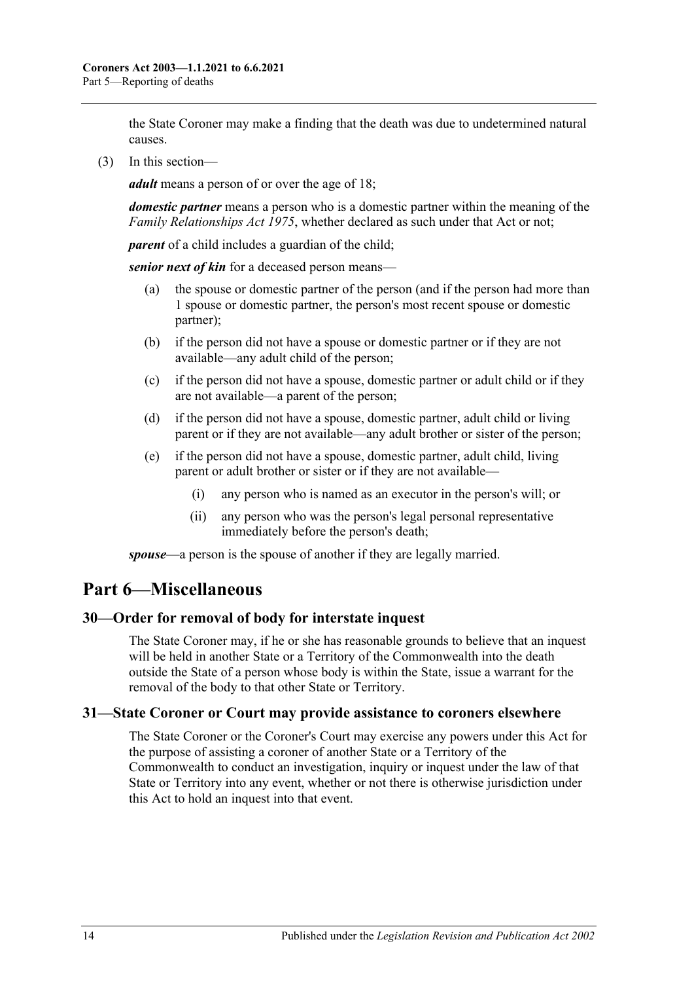the State Coroner may make a finding that the death was due to undetermined natural causes.

(3) In this section—

*adult* means a person of or over the age of 18;

*domestic partner* means a person who is a domestic partner within the meaning of the *[Family Relationships Act](http://www.legislation.sa.gov.au/index.aspx?action=legref&type=act&legtitle=Family%20Relationships%20Act%201975) 1975*, whether declared as such under that Act or not;

*parent* of a child includes a guardian of the child;

*senior next of kin* for a deceased person means—

- (a) the spouse or domestic partner of the person (and if the person had more than 1 spouse or domestic partner, the person's most recent spouse or domestic partner);
- (b) if the person did not have a spouse or domestic partner or if they are not available—any adult child of the person;
- (c) if the person did not have a spouse, domestic partner or adult child or if they are not available—a parent of the person;
- (d) if the person did not have a spouse, domestic partner, adult child or living parent or if they are not available—any adult brother or sister of the person;
- (e) if the person did not have a spouse, domestic partner, adult child, living parent or adult brother or sister or if they are not available—
	- (i) any person who is named as an executor in the person's will; or
	- (ii) any person who was the person's legal personal representative immediately before the person's death;

*spouse*—a person is the spouse of another if they are legally married.

# <span id="page-13-0"></span>**Part 6—Miscellaneous**

#### <span id="page-13-1"></span>**30—Order for removal of body for interstate inquest**

The State Coroner may, if he or she has reasonable grounds to believe that an inquest will be held in another State or a Territory of the Commonwealth into the death outside the State of a person whose body is within the State, issue a warrant for the removal of the body to that other State or Territory.

#### <span id="page-13-2"></span>**31—State Coroner or Court may provide assistance to coroners elsewhere**

The State Coroner or the Coroner's Court may exercise any powers under this Act for the purpose of assisting a coroner of another State or a Territory of the Commonwealth to conduct an investigation, inquiry or inquest under the law of that State or Territory into any event, whether or not there is otherwise jurisdiction under this Act to hold an inquest into that event.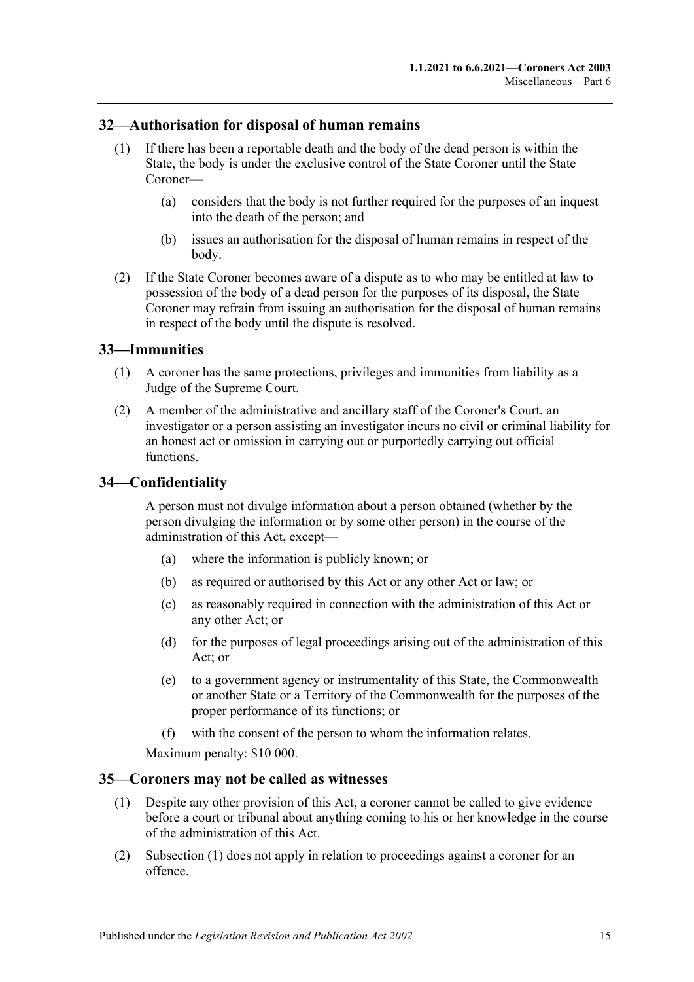#### <span id="page-14-0"></span>**32—Authorisation for disposal of human remains**

- (1) If there has been a reportable death and the body of the dead person is within the State, the body is under the exclusive control of the State Coroner until the State Coroner—
	- (a) considers that the body is not further required for the purposes of an inquest into the death of the person; and
	- (b) issues an authorisation for the disposal of human remains in respect of the body.
- (2) If the State Coroner becomes aware of a dispute as to who may be entitled at law to possession of the body of a dead person for the purposes of its disposal, the State Coroner may refrain from issuing an authorisation for the disposal of human remains in respect of the body until the dispute is resolved.

#### <span id="page-14-1"></span>**33—Immunities**

- (1) A coroner has the same protections, privileges and immunities from liability as a Judge of the Supreme Court.
- (2) A member of the administrative and ancillary staff of the Coroner's Court, an investigator or a person assisting an investigator incurs no civil or criminal liability for an honest act or omission in carrying out or purportedly carrying out official functions.

#### <span id="page-14-2"></span>**34—Confidentiality**

A person must not divulge information about a person obtained (whether by the person divulging the information or by some other person) in the course of the administration of this Act, except—

- (a) where the information is publicly known; or
- (b) as required or authorised by this Act or any other Act or law; or
- (c) as reasonably required in connection with the administration of this Act or any other Act; or
- (d) for the purposes of legal proceedings arising out of the administration of this Act; or
- (e) to a government agency or instrumentality of this State, the Commonwealth or another State or a Territory of the Commonwealth for the purposes of the proper performance of its functions; or
- (f) with the consent of the person to whom the information relates.

Maximum penalty: \$10 000.

#### <span id="page-14-4"></span><span id="page-14-3"></span>**35—Coroners may not be called as witnesses**

- (1) Despite any other provision of this Act, a coroner cannot be called to give evidence before a court or tribunal about anything coming to his or her knowledge in the course of the administration of this Act.
- (2) [Subsection](#page-14-4) (1) does not apply in relation to proceedings against a coroner for an offence.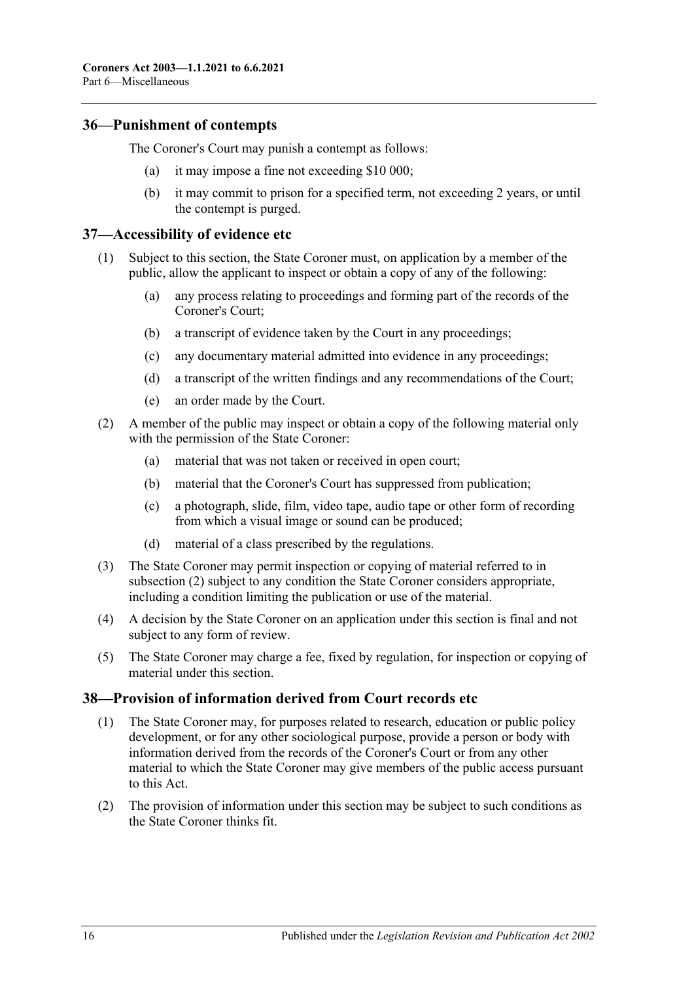### <span id="page-15-0"></span>**36—Punishment of contempts**

The Coroner's Court may punish a contempt as follows:

- (a) it may impose a fine not exceeding \$10 000;
- (b) it may commit to prison for a specified term, not exceeding 2 years, or until the contempt is purged.

#### <span id="page-15-1"></span>**37—Accessibility of evidence etc**

- (1) Subject to this section, the State Coroner must, on application by a member of the public, allow the applicant to inspect or obtain a copy of any of the following:
	- (a) any process relating to proceedings and forming part of the records of the Coroner's Court;
	- (b) a transcript of evidence taken by the Court in any proceedings;
	- (c) any documentary material admitted into evidence in any proceedings;
	- (d) a transcript of the written findings and any recommendations of the Court;
	- (e) an order made by the Court.
- <span id="page-15-3"></span>(2) A member of the public may inspect or obtain a copy of the following material only with the permission of the State Coroner:
	- (a) material that was not taken or received in open court;
	- (b) material that the Coroner's Court has suppressed from publication;
	- (c) a photograph, slide, film, video tape, audio tape or other form of recording from which a visual image or sound can be produced;
	- (d) material of a class prescribed by the regulations.
- (3) The State Coroner may permit inspection or copying of material referred to in [subsection](#page-15-3) (2) subject to any condition the State Coroner considers appropriate, including a condition limiting the publication or use of the material.
- (4) A decision by the State Coroner on an application under this section is final and not subject to any form of review.
- (5) The State Coroner may charge a fee, fixed by regulation, for inspection or copying of material under this section.

#### <span id="page-15-2"></span>**38—Provision of information derived from Court records etc**

- (1) The State Coroner may, for purposes related to research, education or public policy development, or for any other sociological purpose, provide a person or body with information derived from the records of the Coroner's Court or from any other material to which the State Coroner may give members of the public access pursuant to this Act.
- (2) The provision of information under this section may be subject to such conditions as the State Coroner thinks fit.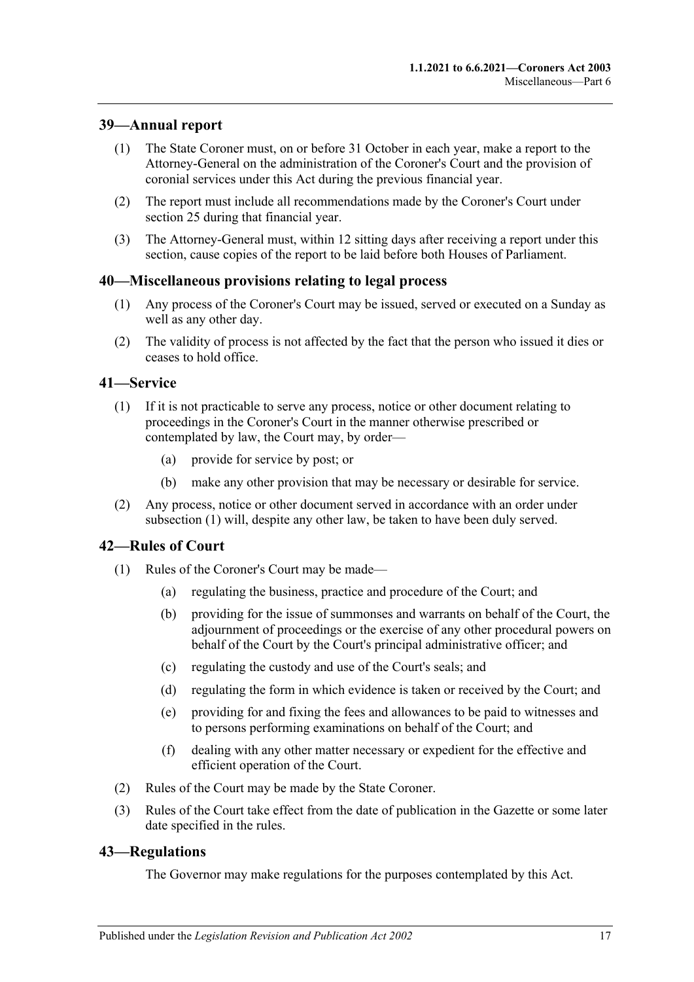### <span id="page-16-0"></span>**39—Annual report**

- (1) The State Coroner must, on or before 31 October in each year, make a report to the Attorney-General on the administration of the Coroner's Court and the provision of coronial services under this Act during the previous financial year.
- (2) The report must include all recommendations made by the Coroner's Court under [section](#page-10-1) 25 during that financial year.
- (3) The Attorney-General must, within 12 sitting days after receiving a report under this section, cause copies of the report to be laid before both Houses of Parliament.

#### <span id="page-16-1"></span>**40—Miscellaneous provisions relating to legal process**

- (1) Any process of the Coroner's Court may be issued, served or executed on a Sunday as well as any other day.
- (2) The validity of process is not affected by the fact that the person who issued it dies or ceases to hold office.

#### <span id="page-16-5"></span><span id="page-16-2"></span>**41—Service**

- (1) If it is not practicable to serve any process, notice or other document relating to proceedings in the Coroner's Court in the manner otherwise prescribed or contemplated by law, the Court may, by order—
	- (a) provide for service by post; or
	- (b) make any other provision that may be necessary or desirable for service.
- (2) Any process, notice or other document served in accordance with an order under [subsection](#page-16-5) (1) will, despite any other law, be taken to have been duly served.

#### <span id="page-16-3"></span>**42—Rules of Court**

- (1) Rules of the Coroner's Court may be made—
	- (a) regulating the business, practice and procedure of the Court; and
	- (b) providing for the issue of summonses and warrants on behalf of the Court, the adjournment of proceedings or the exercise of any other procedural powers on behalf of the Court by the Court's principal administrative officer; and
	- (c) regulating the custody and use of the Court's seals; and
	- (d) regulating the form in which evidence is taken or received by the Court; and
	- (e) providing for and fixing the fees and allowances to be paid to witnesses and to persons performing examinations on behalf of the Court; and
	- (f) dealing with any other matter necessary or expedient for the effective and efficient operation of the Court.
- (2) Rules of the Court may be made by the State Coroner.
- (3) Rules of the Court take effect from the date of publication in the Gazette or some later date specified in the rules.

#### <span id="page-16-4"></span>**43—Regulations**

The Governor may make regulations for the purposes contemplated by this Act.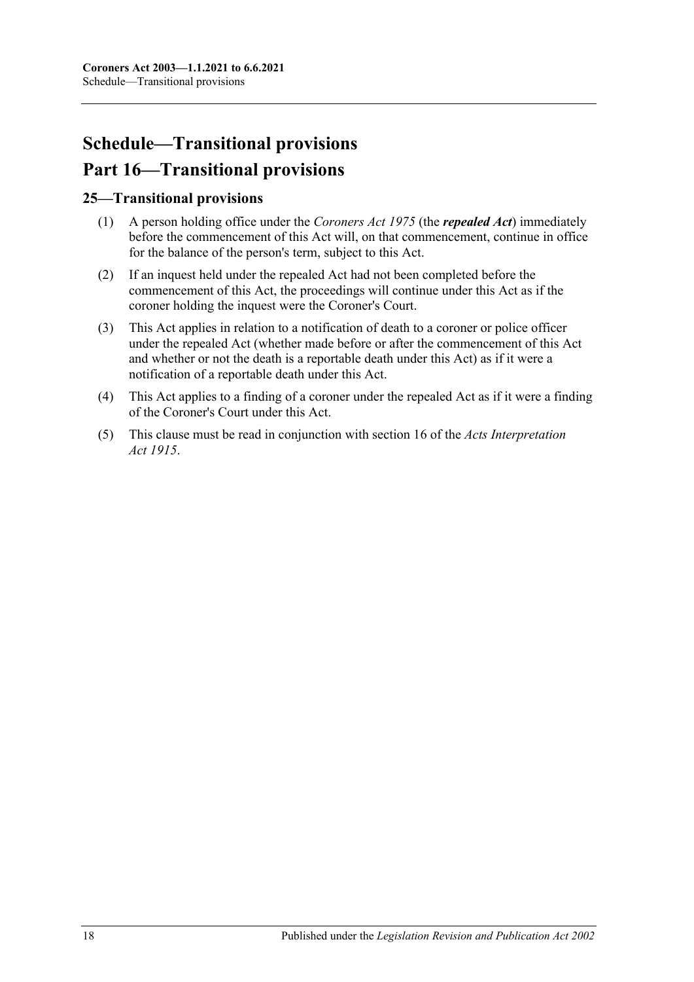# <span id="page-17-0"></span>**Schedule—Transitional provisions Part 16—Transitional provisions**

# <span id="page-17-1"></span>**25—Transitional provisions**

- (1) A person holding office under the *[Coroners Act](http://www.legislation.sa.gov.au/index.aspx?action=legref&type=act&legtitle=Coroners%20Act%201975) 1975* (the *repealed Act*) immediately before the commencement of this Act will, on that commencement, continue in office for the balance of the person's term, subject to this Act.
- (2) If an inquest held under the repealed Act had not been completed before the commencement of this Act, the proceedings will continue under this Act as if the coroner holding the inquest were the Coroner's Court.
- (3) This Act applies in relation to a notification of death to a coroner or police officer under the repealed Act (whether made before or after the commencement of this Act and whether or not the death is a reportable death under this Act) as if it were a notification of a reportable death under this Act.
- (4) This Act applies to a finding of a coroner under the repealed Act as if it were a finding of the Coroner's Court under this Act.
- (5) This clause must be read in conjunction with section 16 of the *[Acts Interpretation](http://www.legislation.sa.gov.au/index.aspx?action=legref&type=act&legtitle=Acts%20Interpretation%20Act%201915)  Act [1915](http://www.legislation.sa.gov.au/index.aspx?action=legref&type=act&legtitle=Acts%20Interpretation%20Act%201915)*.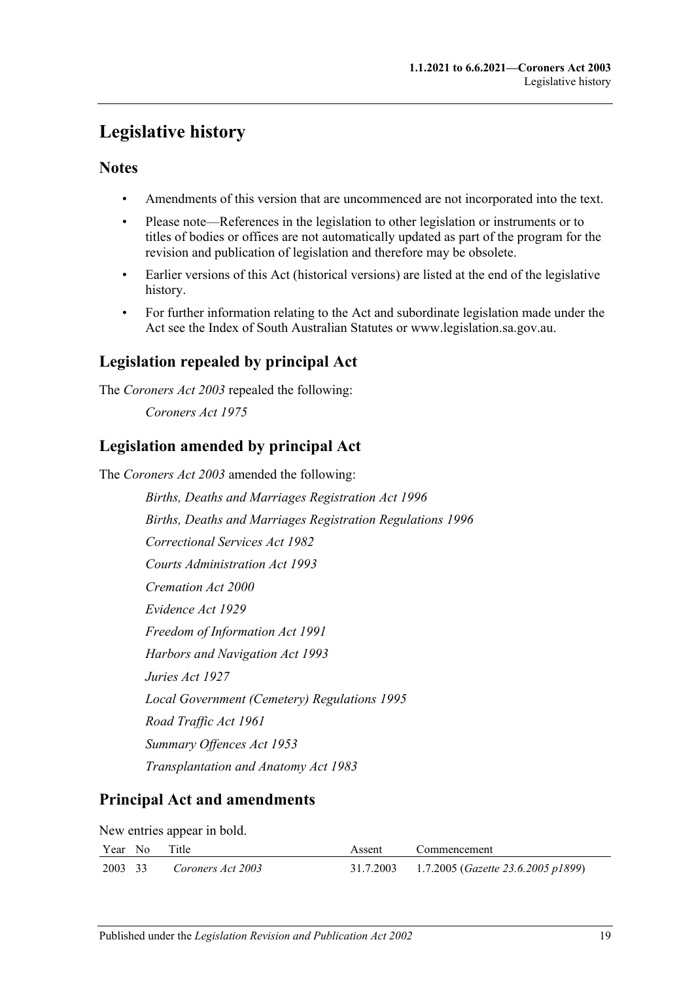# <span id="page-18-0"></span>**Legislative history**

# **Notes**

- Amendments of this version that are uncommenced are not incorporated into the text.
- Please note—References in the legislation to other legislation or instruments or to titles of bodies or offices are not automatically updated as part of the program for the revision and publication of legislation and therefore may be obsolete.
- Earlier versions of this Act (historical versions) are listed at the end of the legislative history.
- For further information relating to the Act and subordinate legislation made under the Act see the Index of South Australian Statutes or www.legislation.sa.gov.au.

# **Legislation repealed by principal Act**

The *Coroners Act 2003* repealed the following:

*Coroners Act 1975*

# **Legislation amended by principal Act**

The *Coroners Act 2003* amended the following:

*Births, Deaths and Marriages Registration Act 1996 Births, Deaths and Marriages Registration Regulations 1996 Correctional Services Act 1982 Courts Administration Act 1993 Cremation Act 2000 Evidence Act 1929 Freedom of Information Act 1991 Harbors and Navigation Act 1993 Juries Act 1927 Local Government (Cemetery) Regulations 1995 Road Traffic Act 1961 Summary Offences Act 1953 Transplantation and Anatomy Act 1983*

# **Principal Act and amendments**

New entries appear in bold.

| Year No Title |                           | Assent | Commencement                                          |
|---------------|---------------------------|--------|-------------------------------------------------------|
|               | 2003 33 Coroners Act 2003 |        | 31.7.2003 1.7.2005 ( <i>Gazette 23.6.2005 p1899</i> ) |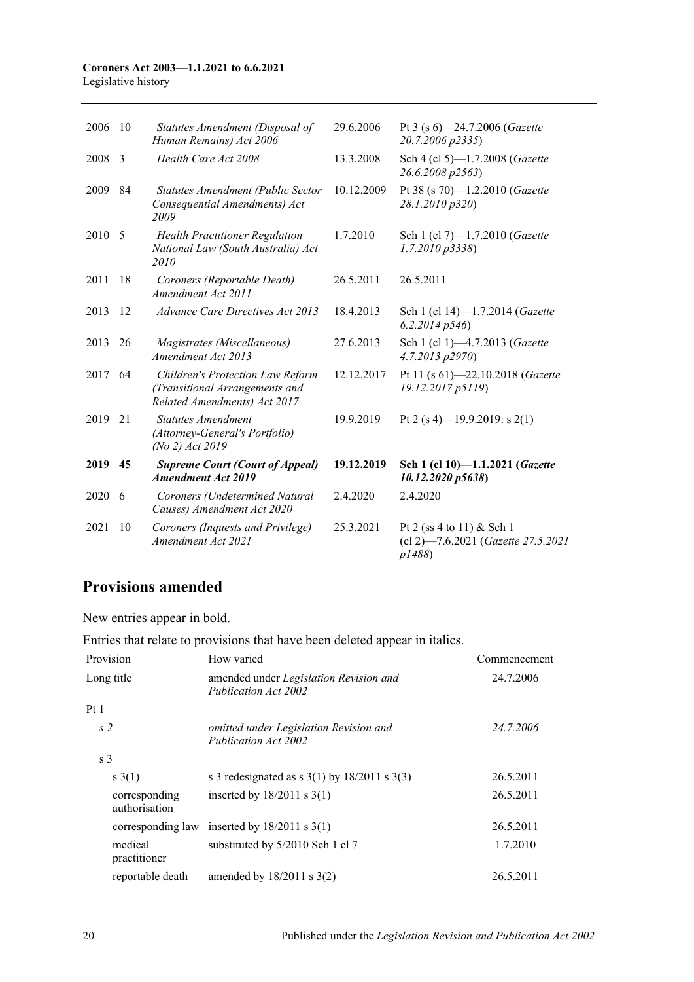# **Coroners Act 2003—1.1.2021 to 6.6.2021**

Legislative history

| 2006 | 10 | Statutes Amendment (Disposal of<br>Human Remains) Act 2006                                         | 29.6.2006  | Pt 3 (s 6)-24.7.2006 (Gazette<br>20.7.2006 p2335)                         |
|------|----|----------------------------------------------------------------------------------------------------|------------|---------------------------------------------------------------------------|
| 2008 | 3  | Health Care Act 2008                                                                               | 13.3.2008  | Sch 4 (cl 5)-1.7.2008 (Gazette<br>26.6.2008 p2563)                        |
| 2009 | 84 | Statutes Amendment (Public Sector<br>Consequential Amendments) Act<br>2009                         | 10.12.2009 | Pt 38 (s 70)-1.2.2010 (Gazette<br>28.1.2010 p320)                         |
| 2010 | -5 | <b>Health Practitioner Regulation</b><br>National Law (South Australia) Act<br>2010                | 1.7.2010   | Sch 1 (cl 7)-1.7.2010 (Gazette<br>1.7.2010 p3338                          |
| 2011 | 18 | Coroners (Reportable Death)<br>Amendment Act 2011                                                  | 26.5.2011  | 26.5.2011                                                                 |
| 2013 | 12 | Advance Care Directives Act 2013                                                                   | 18.4.2013  | Sch 1 (cl 14)-1.7.2014 (Gazette<br>6.2.2014p546                           |
| 2013 | 26 | Magistrates (Miscellaneous)<br>Amendment Act 2013                                                  | 27.6.2013  | Sch 1 (cl 1)-4.7.2013 (Gazette<br>4.7.2013 p2970)                         |
| 2017 | 64 | Children's Protection Law Reform<br>(Transitional Arrangements and<br>Related Amendments) Act 2017 | 12.12.2017 | Pt 11 (s 61)-22.10.2018 (Gazette<br>19.12.2017 p5119)                     |
| 2019 | 21 | <b>Statutes Amendment</b><br>(Attorney-General's Portfolio)<br>(No 2) Act 2019                     | 19.9.2019  | Pt 2 (s 4)—19.9.2019: s 2(1)                                              |
| 2019 | 45 | <b>Supreme Court (Court of Appeal)</b><br><b>Amendment Act 2019</b>                                | 19.12.2019 | Sch 1 (cl 10)-1.1.2021 (Gazette<br>10.12.2020 p5638)                      |
| 2020 | 6  | Coroners (Undetermined Natural<br>Causes) Amendment Act 2020                                       | 2.4.2020   | 2.4.2020                                                                  |
| 2021 | 10 | Coroners (Inquests and Privilege)<br>Amendment Act 2021                                            | 25.3.2021  | Pt 2 (ss 4 to 11) & Sch 1<br>(cl 2)-7.6.2021 (Gazette 27.5.2021<br>p1488) |

# **Provisions amended**

New entries appear in bold.

# Entries that relate to provisions that have been deleted appear in italics.

| Provision                      | How varied                                                            | Commencement |
|--------------------------------|-----------------------------------------------------------------------|--------------|
| Long title                     | amended under <i>Legislation Revision and</i><br>Publication Act 2002 | 24.7.2006    |
| Pt1                            |                                                                       |              |
| s <sub>2</sub>                 | omitted under Legislation Revision and<br>Publication Act 2002        | 24.7.2006    |
| s <sub>3</sub>                 |                                                                       |              |
| s(1)                           | s 3 redesignated as s $3(1)$ by $18/2011$ s $3(3)$                    | 26.5.2011    |
| corresponding<br>authorisation | inserted by $18/2011$ s $3(1)$                                        | 26.5.2011    |
| corresponding law              | inserted by $18/2011$ s $3(1)$                                        | 26.5.2011    |
| medical<br>practitioner        | substituted by 5/2010 Sch 1 cl 7                                      | 1.7.2010     |
| reportable death               | amended by $18/2011$ s $3(2)$                                         | 26.5.2011    |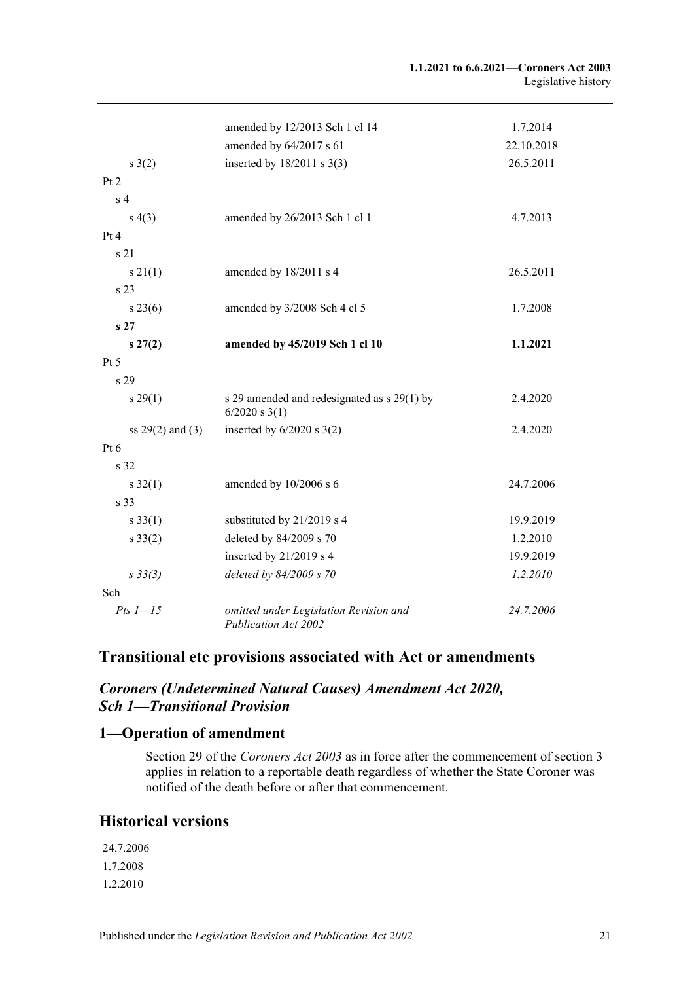#### **1.1.2021 to 6.6.2021—Coroners Act 2003** Legislative history

|                    | amended by 12/2013 Sch 1 cl 14                                 | 1.7.2014   |
|--------------------|----------------------------------------------------------------|------------|
|                    | amended by 64/2017 s 61                                        | 22.10.2018 |
| s(2)               | inserted by $18/2011$ s 3(3)                                   | 26.5.2011  |
| Pt <sub>2</sub>    |                                                                |            |
| s <sub>4</sub>     |                                                                |            |
| s(4(3))            | amended by 26/2013 Sch 1 cl 1                                  | 4.7.2013   |
| Pt 4               |                                                                |            |
| s <sub>21</sub>    |                                                                |            |
| $s \, 21(1)$       | amended by 18/2011 s 4                                         | 26.5.2011  |
| s <sub>23</sub>    |                                                                |            |
| $s\,23(6)$         | amended by 3/2008 Sch 4 cl 5                                   | 1.7.2008   |
| s <sub>27</sub>    |                                                                |            |
| $s\,27(2)$         | amended by 45/2019 Sch 1 cl 10                                 | 1.1.2021   |
| Pt 5               |                                                                |            |
| s 29               |                                                                |            |
| s 29(1)            | s 29 amended and redesignated as s 29(1) by<br>$6/2020$ s 3(1) | 2.4.2020   |
| $ss 29(2)$ and (3) | inserted by $6/2020$ s $3(2)$                                  | 2.4.2020   |
| Pt 6               |                                                                |            |
| s 32               |                                                                |            |
| $s \, 32(1)$       | amended by 10/2006 s 6                                         | 24.7.2006  |
| s 33               |                                                                |            |
| $s \, 33(1)$       | substituted by 21/2019 s 4                                     | 19.9.2019  |
| $s \, 33(2)$       | deleted by 84/2009 s 70                                        | 1.2.2010   |
|                    | inserted by 21/2019 s 4                                        | 19.9.2019  |
| $s \frac{33}{3}$   | deleted by 84/2009 s 70                                        | 1.2.2010   |
| Sch                |                                                                |            |
| $Pts$ $1-15$       | omitted under Legislation Revision and<br>Publication Act 2002 | 24.7.2006  |

# **Transitional etc provisions associated with Act or amendments**

# *Coroners (Undetermined Natural Causes) Amendment Act 2020, Sch 1—Transitional Provision*

#### **1—Operation of amendment**

Section 29 of the *[Coroners Act](http://www.legislation.sa.gov.au/index.aspx?action=legref&type=act&legtitle=Coroners%20Act%202003) 2003* as in force after the commencement of section 3 applies in relation to a reportable death regardless of whether the State Coroner was notified of the death before or after that commencement.

# **Historical versions**

24.7.2006 1.7.2008 1.2.2010